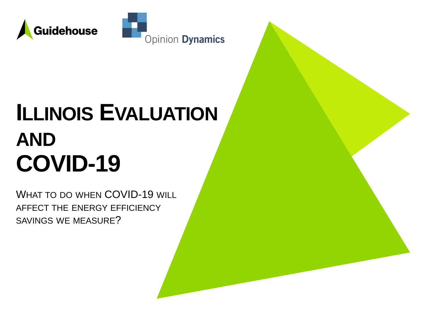



# **ILLINOIS EVALUATION AND COVID-19**

WHAT TO DO WHEN COVID-19 WILL AFFECT THE ENERGY EFFICIENCY SAVINGS WE MEASURE?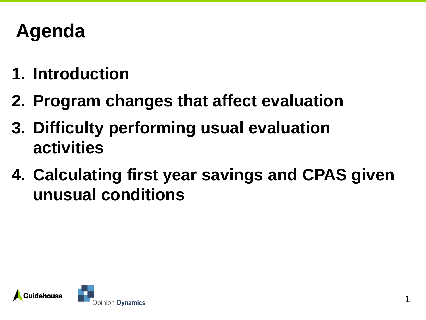## **Agenda**

- **1. Introduction**
- **2. Program changes that affect evaluation**
- **3. Difficulty performing usual evaluation activities**
- **4. Calculating first year savings and CPAS given unusual conditions**

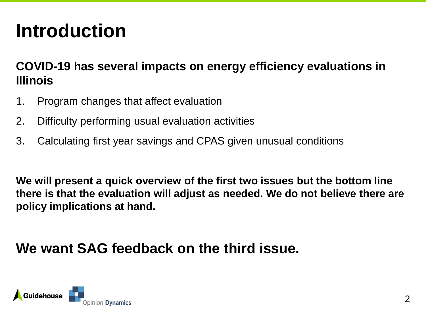# **Introduction**

#### **COVID-19 has several impacts on energy efficiency evaluations in Illinois**

- 1. Program changes that affect evaluation
- 2. Difficulty performing usual evaluation activities
- 3. Calculating first year savings and CPAS given unusual conditions

**We will present a quick overview of the first two issues but the bottom line there is that the evaluation will adjust as needed. We do not believe there are policy implications at hand.**

### **We want SAG feedback on the third issue.**

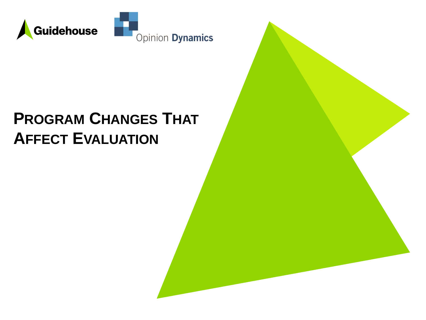

## **PROGRAM CHANGES THAT AFFECT EVALUATION**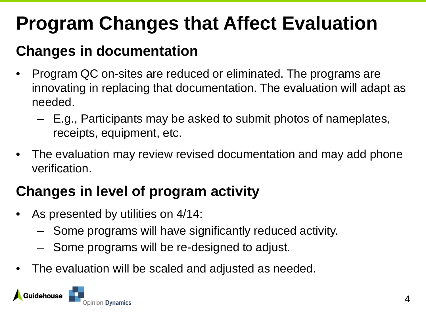# **Program Changes that Affect Evaluation**

## **Changes in documentation**

- Program QC on-sites are reduced or eliminated. The programs are innovating in replacing that documentation. The evaluation will adapt as needed.
	- E.g., Participants may be asked to submit photos of nameplates, receipts, equipment, etc.
- The evaluation may review revised documentation and may add phone verification.

## **Changes in level of program activity**

- As presented by utilities on 4/14:
	- Some programs will have significantly reduced activity.
	- Some programs will be re-designed to adjust.
- The evaluation will be scaled and adjusted as needed.

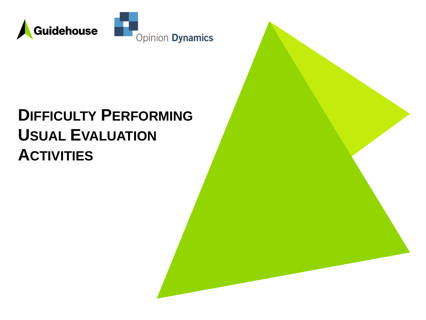

## **DIFFICULTY PERFORMING USUAL EVALUATION ACTIVITIES**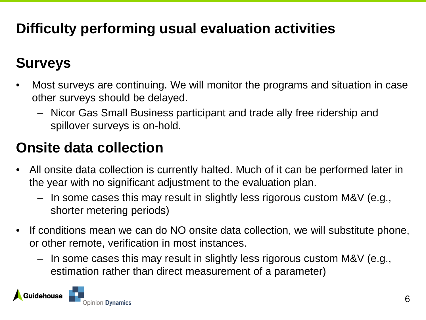## **Difficulty performing usual evaluation activities**

## **Surveys**

- Most surveys are continuing. We will monitor the programs and situation in case other surveys should be delayed.
	- Nicor Gas Small Business participant and trade ally free ridership and spillover surveys is on-hold.

## **Onsite data collection**

- All onsite data collection is currently halted. Much of it can be performed later in the year with no significant adjustment to the evaluation plan.
	- In some cases this may result in slightly less rigorous custom M&V (e.g., shorter metering periods)
- If conditions mean we can do NO onsite data collection, we will substitute phone, or other remote, verification in most instances.
	- In some cases this may result in slightly less rigorous custom M&V (e.g., estimation rather than direct measurement of a parameter)

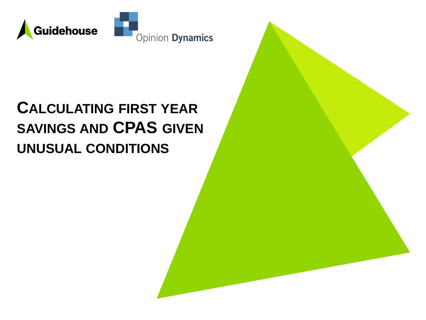

## **CALCULATING FIRST YEAR SAVINGS AND CPAS GIVEN UNUSUAL CONDITIONS**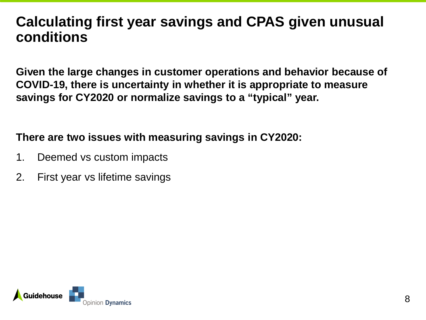### **Calculating first year savings and CPAS given unusual conditions**

**Given the large changes in customer operations and behavior because of COVID-19, there is uncertainty in whether it is appropriate to measure savings for CY2020 or normalize savings to a "typical" year.** 

#### **There are two issues with measuring savings in CY2020:**

- 1. Deemed vs custom impacts
- 2. First year vs lifetime savings

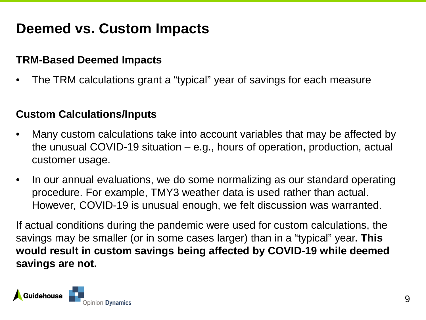### **Deemed vs. Custom Impacts**

#### **TRM-Based Deemed Impacts**

• The TRM calculations grant a "typical" year of savings for each measure

#### **Custom Calculations/Inputs**

- Many custom calculations take into account variables that may be affected by the unusual COVID-19 situation – e.g., hours of operation, production, actual customer usage.
- In our annual evaluations, we do some normalizing as our standard operating procedure. For example, TMY3 weather data is used rather than actual. However, COVID-19 is unusual enough, we felt discussion was warranted.

If actual conditions during the pandemic were used for custom calculations, the savings may be smaller (or in some cases larger) than in a "typical" year. **This would result in custom savings being affected by COVID-19 while deemed savings are not.**

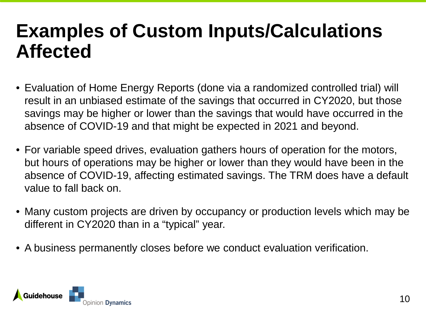## **Examples of Custom Inputs/Calculations Affected**

- Evaluation of Home Energy Reports (done via a randomized controlled trial) will result in an unbiased estimate of the savings that occurred in CY2020, but those savings may be higher or lower than the savings that would have occurred in the absence of COVID-19 and that might be expected in 2021 and beyond.
- For variable speed drives, evaluation gathers hours of operation for the motors, but hours of operations may be higher or lower than they would have been in the absence of COVID-19, affecting estimated savings. The TRM does have a default value to fall back on.
- Many custom projects are driven by occupancy or production levels which may be different in CY2020 than in a "typical" year.
- A business permanently closes before we conduct evaluation verification.

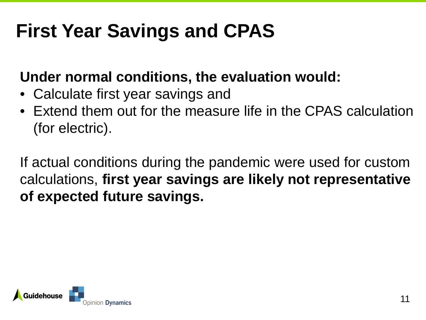# **First Year Savings and CPAS**

## **Under normal conditions, the evaluation would:**

- Calculate first year savings and
- Extend them out for the measure life in the CPAS calculation (for electric).

If actual conditions during the pandemic were used for custom calculations, **first year savings are likely not representative of expected future savings.**

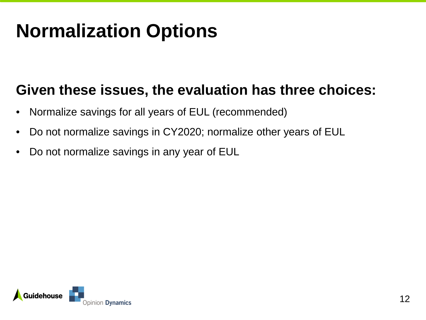# **Normalization Options**

### **Given these issues, the evaluation has three choices:**

- Normalize savings for all years of EUL (recommended)
- Do not normalize savings in CY2020; normalize other years of EUL
- Do not normalize savings in any year of EUL

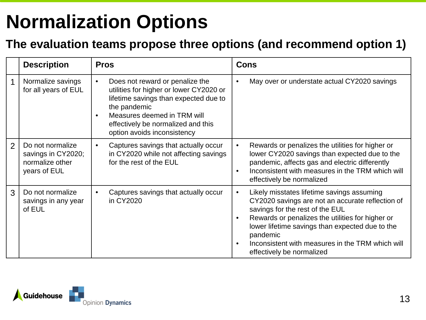# **Normalization Options**

#### **The evaluation teams propose three options (and recommend option 1)**

|                | <b>Description</b>                                                        | <b>Pros</b>                                                                                                                                                                                                                                          | Cons                                                                                                                                                                                                                                                                                                                                                            |
|----------------|---------------------------------------------------------------------------|------------------------------------------------------------------------------------------------------------------------------------------------------------------------------------------------------------------------------------------------------|-----------------------------------------------------------------------------------------------------------------------------------------------------------------------------------------------------------------------------------------------------------------------------------------------------------------------------------------------------------------|
| 1              | Normalize savings<br>for all years of EUL                                 | Does not reward or penalize the<br>$\bullet$<br>utilities for higher or lower CY2020 or<br>lifetime savings than expected due to<br>the pandemic<br>Measures deemed in TRM will<br>effectively be normalized and this<br>option avoids inconsistency | May over or understate actual CY2020 savings<br>$\bullet$                                                                                                                                                                                                                                                                                                       |
| $\overline{2}$ | Do not normalize<br>savings in CY2020;<br>normalize other<br>years of EUL | Captures savings that actually occur<br>$\bullet$<br>in CY2020 while not affecting savings<br>for the rest of the EUL                                                                                                                                | Rewards or penalizes the utilities for higher or<br>$\bullet$<br>lower CY2020 savings than expected due to the<br>pandemic, affects gas and electric differently<br>Inconsistent with measures in the TRM which will<br>$\bullet$<br>effectively be normalized                                                                                                  |
| 3              | Do not normalize<br>savings in any year<br>of EUL                         | Captures savings that actually occur<br>in CY2020                                                                                                                                                                                                    | Likely misstates lifetime savings assuming<br>$\bullet$<br>CY2020 savings are not an accurate reflection of<br>savings for the rest of the EUL<br>Rewards or penalizes the utilities for higher or<br>$\bullet$<br>lower lifetime savings than expected due to the<br>pandemic<br>Inconsistent with measures in the TRM which will<br>effectively be normalized |

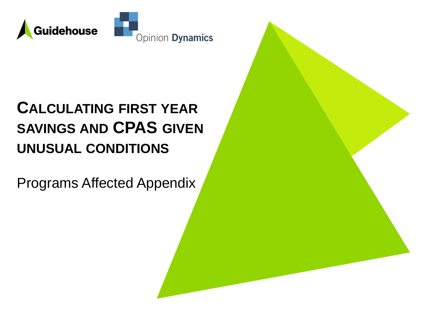

## **CALCULATING FIRST YEAR SAVINGS AND CPAS GIVEN UNUSUAL CONDITIONS**

Programs Affected Appendix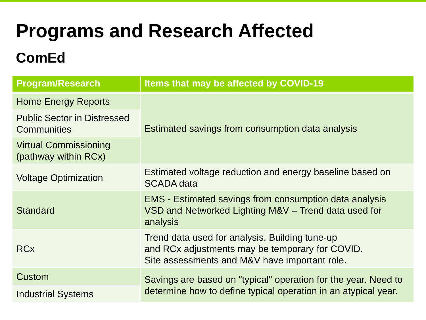## **Programs and Research Affected**

## **ComEd**

| <b>Program/Research</b>                              | Items that may be affected by COVID-19                                                                                                             |  |
|------------------------------------------------------|----------------------------------------------------------------------------------------------------------------------------------------------------|--|
| <b>Home Energy Reports</b>                           |                                                                                                                                                    |  |
| <b>Public Sector in Distressed</b><br>Communities    | Estimated savings from consumption data analysis                                                                                                   |  |
| <b>Virtual Commissioning</b><br>(pathway within RCx) |                                                                                                                                                    |  |
| <b>Voltage Optimization</b>                          | Estimated voltage reduction and energy baseline based on<br><b>SCADA</b> data                                                                      |  |
| <b>Standard</b>                                      | <b>EMS</b> - Estimated savings from consumption data analysis<br>VSD and Networked Lighting M&V - Trend data used for<br>analysis                  |  |
| <b>RCx</b>                                           | Trend data used for analysis. Building tune-up<br>and RCx adjustments may be temporary for COVID.<br>Site assessments and M&V have important role. |  |
| Custom                                               | Savings are based on "typical" operation for the year. Need to                                                                                     |  |
| <b>Industrial Systems</b>                            | determine how to define typical operation in an atypical year.                                                                                     |  |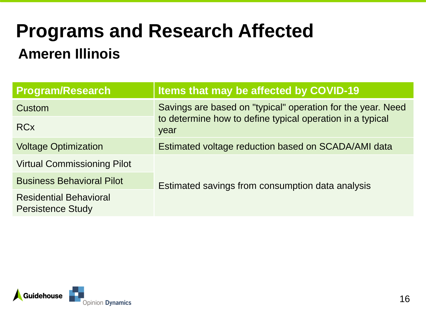# **Programs and Research Affected**

## **Ameren Illinois**

| <b>Program/Research</b>                                   | Items that may be affected by COVID-19                                                                                           |  |
|-----------------------------------------------------------|----------------------------------------------------------------------------------------------------------------------------------|--|
| Custom                                                    | Savings are based on "typical" operation for the year. Need<br>to determine how to define typical operation in a typical<br>year |  |
| <b>RCx</b>                                                |                                                                                                                                  |  |
| <b>Voltage Optimization</b>                               | Estimated voltage reduction based on SCADA/AMI data                                                                              |  |
| <b>Virtual Commissioning Pilot</b>                        |                                                                                                                                  |  |
| <b>Business Behavioral Pilot</b>                          | Estimated savings from consumption data analysis                                                                                 |  |
| <b>Residential Behavioral</b><br><b>Persistence Study</b> |                                                                                                                                  |  |

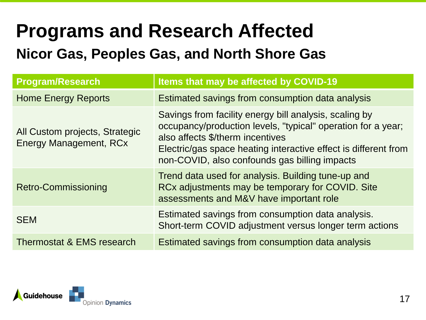## **Programs and Research Affected Nicor Gas, Peoples Gas, and North Shore Gas**

| <b>Program/Research</b>                                         | Items that may be affected by COVID-19                                                                                                                                                                                                                                         |
|-----------------------------------------------------------------|--------------------------------------------------------------------------------------------------------------------------------------------------------------------------------------------------------------------------------------------------------------------------------|
| <b>Home Energy Reports</b>                                      | Estimated savings from consumption data analysis                                                                                                                                                                                                                               |
| All Custom projects, Strategic<br><b>Energy Management, RCx</b> | Savings from facility energy bill analysis, scaling by<br>occupancy/production levels, "typical" operation for a year;<br>also affects \$/therm incentives<br>Electric/gas space heating interactive effect is different from<br>non-COVID, also confounds gas billing impacts |
| <b>Retro-Commissioning</b>                                      | Trend data used for analysis. Building tune-up and<br>RCx adjustments may be temporary for COVID. Site<br>assessments and M&V have important role                                                                                                                              |
| <b>SEM</b>                                                      | Estimated savings from consumption data analysis.<br>Short-term COVID adjustment versus longer term actions                                                                                                                                                                    |
| Thermostat & EMS research                                       | Estimated savings from consumption data analysis                                                                                                                                                                                                                               |

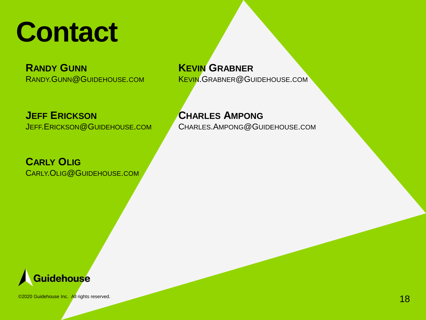

**RANDY GUNN** RANDY.GUNN@GUIDEHOUSE.COM

**JEFF ERICKSON** JEFF.ERICKSON@GUIDEHOUSE.COM

**CARLY OLIG** CARLY.OLIG@GUIDEHOUSE.COM

#### **KEVIN GRABNER**

KEVIN.GRABNER@GUIDEHOUSE.COM

#### **CHARLES AMPONG**

CHARLES.AMPONG@GUIDEHOUSE.COM



©2020 Guidehouse Inc. All rights reserved.